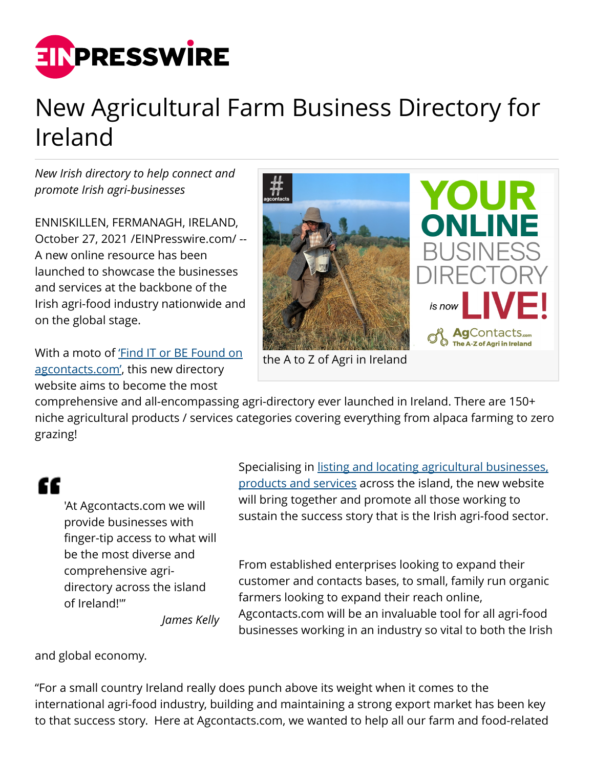

## New Agricultural Farm Business Directory for Ireland

*New Irish directory to help connect and promote Irish agri-businesses*

ENNISKILLEN, FERMANAGH, IRELAND, October 27, 2021 [/EINPresswire.com](http://www.einpresswire.com)/ -- A new online resource has been launched to showcase the businesses and services at the backbone of the Irish agri-food industry nationwide and on the global stage.

With a moto of ['Find IT or BE Found on](http://www.agcontacts.com) [agcontacts.com'](http://www.agcontacts.com), this new directory website aims to become the most



the A to Z of Agri in Ireland

comprehensive and all-encompassing agri-directory ever launched in Ireland. There are 150+ niche agricultural products / services categories covering everything from alpaca farming to zero grazing!

## "

'At Agcontacts.com we will provide businesses with finger-tip access to what will be the most diverse and comprehensive agridirectory across the island of Ireland!'"

Specialising in [listing and locating agricultural businesses,](https://agcontacts.com/agri-products-services-directory-ireland/) [products and services](https://agcontacts.com/agri-products-services-directory-ireland/) across the island, the new website will bring together and promote all those working to sustain the success story that is the Irish agri-food sector.

From established enterprises looking to expand their customer and contacts bases, to small, family run organic farmers looking to expand their reach online, Agcontacts.com will be an invaluable tool for all agri-food businesses working in an industry so vital to both the Irish

*James Kelly*

and global economy.

"For a small country Ireland really does punch above its weight when it comes to the international agri-food industry, building and maintaining a strong export market has been key to that success story. Here at Agcontacts.com, we wanted to help all our farm and food-related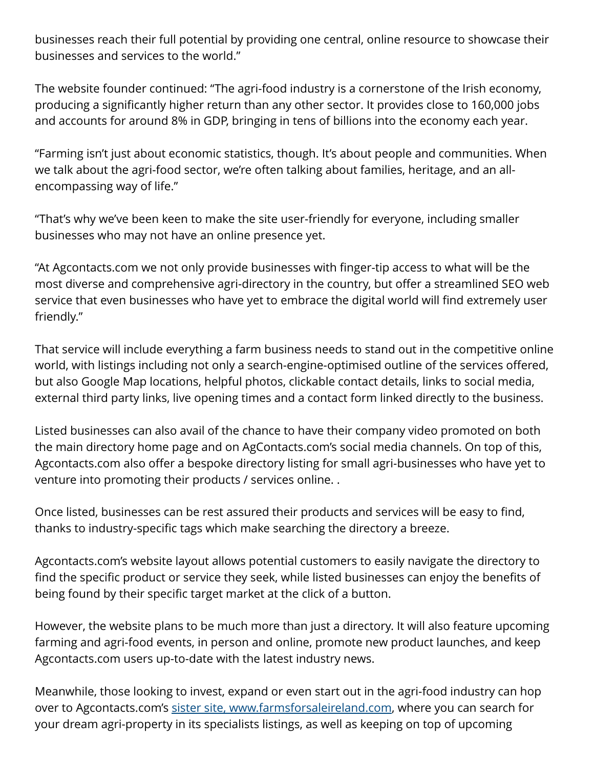businesses reach their full potential by providing one central, online resource to showcase their businesses and services to the world."

The website founder continued: "The agri-food industry is a cornerstone of the Irish economy, producing a significantly higher return than any other sector. It provides close to 160,000 jobs and accounts for around 8% in GDP, bringing in tens of billions into the economy each year.

"Farming isn't just about economic statistics, though. It's about people and communities. When we talk about the agri-food sector, we're often talking about families, heritage, and an allencompassing way of life."

"That's why we've been keen to make the site user-friendly for everyone, including smaller businesses who may not have an online presence yet.

"At Agcontacts.com we not only provide businesses with finger-tip access to what will be the most diverse and comprehensive agri-directory in the country, but offer a streamlined SEO web service that even businesses who have yet to embrace the digital world will find extremely user friendly."

That service will include everything a farm business needs to stand out in the competitive online world, with listings including not only a search-engine-optimised outline of the services offered, but also Google Map locations, helpful photos, clickable contact details, links to social media, external third party links, live opening times and a contact form linked directly to the business.

Listed businesses can also avail of the chance to have their company video promoted on both the main directory home page and on AgContacts.com's social media channels. On top of this, Agcontacts.com also offer a bespoke directory listing for small agri-businesses who have yet to venture into promoting their products / services online. .

Once listed, businesses can be rest assured their products and services will be easy to find, thanks to industry-specific tags which make searching the directory a breeze.

Agcontacts.com's website layout allows potential customers to easily navigate the directory to find the specific product or service they seek, while listed businesses can enjoy the benefits of being found by their specific target market at the click of a button.

However, the website plans to be much more than just a directory. It will also feature upcoming farming and agri-food events, in person and online, promote new product launches, and keep Agcontacts.com users up-to-date with the latest industry news.

Meanwhile, those looking to invest, expand or even start out in the agri-food industry can hop over to Agcontacts.com's [sister site, www.farmsforsaleireland.com,](http://farmsforsaleireland.com) where you can search for your dream agri-property in its specialists listings, as well as keeping on top of upcoming